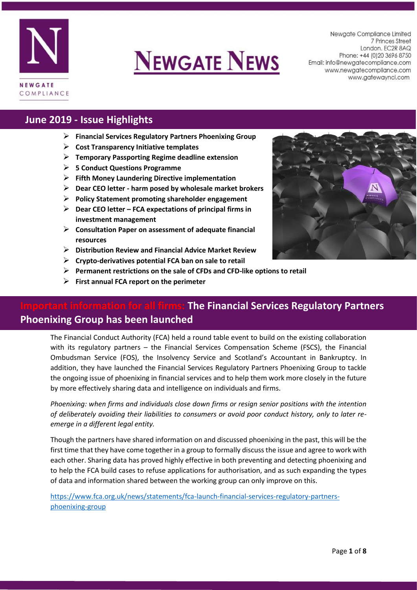

# **NEWGATE NEWS**

Newgate Compliance Limited 7 Princes Street London. EC2R 8AQ Phone: +44 (0) 20 3696 8750 Email: info@newgatecompliance.com www.newgatecompliance.com www.gatewayncl.com

#### **June 2019 - Issue Highlights**

- ➢ **Financial Services Regulatory Partners Phoenixing Group**
- ➢ **Cost Transparency Initiative templates**
- ➢ **Temporary Passporting Regime deadline extension**
- ➢ **5 Conduct Questions Programme**
- ➢ **Fifth Money Laundering Directive implementation**
- ➢ **Dear CEO letter - harm posed by wholesale market brokers**
- ➢ **Policy Statement promoting shareholder engagement**
- ➢ **Dear CEO letter – FCA expectations of principal firms in investment management**
- ➢ **Consultation Paper on assessment of adequate financial resources**
- ➢ **Distribution Review and Financial Advice Market Review**
- ➢ **Crypto-derivatives potential FCA ban on sale to retail**
- ➢ **Permanent restrictions on the sale of CFDs and CFD-like options to retail**
- ➢ **First annual FCA report on the perimeter**



#### **Indee Financial Services Regulatory Partners Phoenixing Group has been launched**

The Financial Conduct Authority (FCA) held a round table event to build on the existing collaboration with its regulatory partners – the Financial Services Compensation Scheme (FSCS), the Financial Ombudsman Service (FOS), the Insolvency Service and Scotland's Accountant in Bankruptcy. In addition, they have launched the Financial Services Regulatory Partners Phoenixing Group to tackle the ongoing issue of phoenixing in financial services and to help them work more closely in the future by more effectively sharing data and intelligence on individuals and firms.

*Phoenixing: when firms and individuals close down firms or resign senior positions with the intention of deliberately avoiding their liabilities to consumers or avoid poor conduct history, only to later reemerge in a different legal entity.*

Though the partners have shared information on and discussed phoenixing in the past, this will be the first time that they have come together in a group to formally discuss the issue and agree to work with each other. Sharing data has proved highly effective in both preventing and detecting phoenixing and to help the FCA build cases to refuse applications for authorisation, and as such expanding the types of data and information shared between the working group can only improve on this.

[https://www.fca.org.uk/news/statements/fca-launch-financial-services-regulatory-partners](https://www.fca.org.uk/news/statements/fca-launch-financial-services-regulatory-partners-phoenixing-group)[phoenixing-group](https://www.fca.org.uk/news/statements/fca-launch-financial-services-regulatory-partners-phoenixing-group)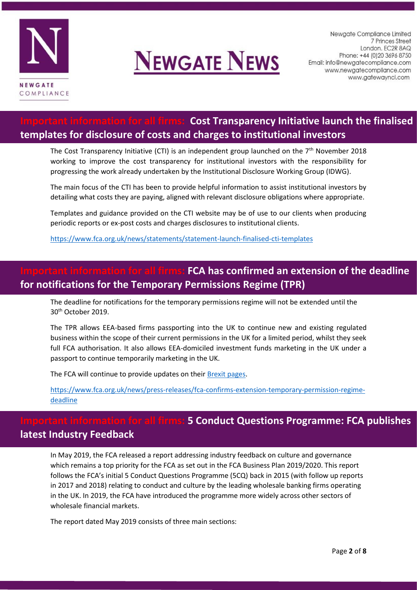



#### **Cost Transparency Initiative launch the finalised templates for disclosure of costs and charges to institutional investors**

The Cost Transparency Initiative (CTI) is an independent group launched on the  $7<sup>th</sup>$  November 2018 working to improve the cost transparency for institutional investors with the responsibility for progressing the work already undertaken by the Institutional Disclosure Working Group (IDWG).

The main focus of the CTI has been to provide helpful information to assist institutional investors by detailing what costs they are paying, aligned with relevant disclosure obligations where appropriate.

Templates and guidance provided on the CTI website may be of use to our clients when producing periodic reports or ex-post costs and charges disclosures to institutional clients.

<https://www.fca.org.uk/news/statements/statement-launch-finalised-cti-templates>

#### **Important information for all firms: FCA has confirmed an extension of the deadline for notifications for the Temporary Permissions Regime (TPR)**

The deadline for notifications for the temporary permissions regime will not be extended until the 30th October 2019.

The TPR allows EEA-based firms passporting into the UK to continue new and existing regulated business within the scope of their current permissions in the UK for a limited period, whilst they seek full FCA authorisation. It also allows EEA-domiciled investment funds marketing in the UK under a passport to continue temporarily marketing in the UK.

The FCA will continue to provide updates on their [Brexit pages.](https://www.fca.org.uk/brexit)

[https://www.fca.org.uk/news/press-releases/fca-confirms-extension-temporary-permission-regime](https://www.fca.org.uk/news/press-releases/fca-confirms-extension-temporary-permission-regime-deadline)[deadline](https://www.fca.org.uk/news/press-releases/fca-confirms-extension-temporary-permission-regime-deadline)

#### **Important Conduct Questions Programme: FCA publishes latest Industry Feedback**

In May 2019, the FCA released a report addressing industry feedback on culture and governance which remains a top priority for the FCA as set out in the FCA Business Plan 2019/2020. This report follows the FCA's initial 5 Conduct Questions Programme (5CQ) back in 2015 (with follow up reports in 2017 and 2018) relating to conduct and culture by the leading wholesale banking firms operating in the UK. In 2019, the FCA have introduced the programme more widely across other sectors of wholesale financial markets.

The report dated May 2019 consists of three main sections: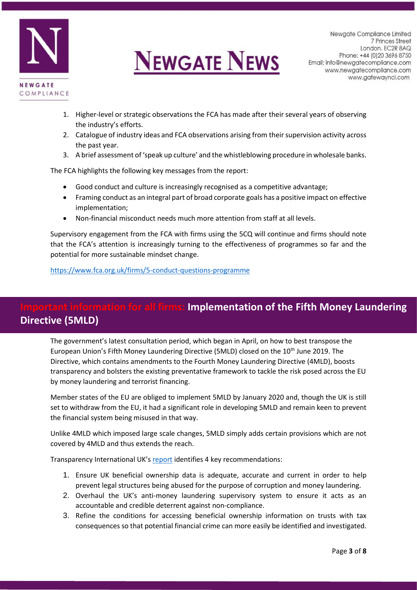



- 1. Higher-level or strategic observations the FCA has made after their several years of observing the industry's efforts.
- 2. Catalogue of industry ideas and FCA observations arising from their supervision activity across the past year.
- 3. A brief assessment of 'speak up culture' and the whistleblowing procedure in wholesale banks.

The FCA highlights the following key messages from the report:

- Good conduct and culture is increasingly recognised as a competitive advantage;
- Framing conduct as an integral part of broad corporate goals has a positive impact on effective implementation;
- Non-financial misconduct needs much more attention from staff at all levels.

Supervisory engagement from the FCA with firms using the 5CQ will continue and firms should note that the FCA's attention is increasingly turning to the effectiveness of programmes so far and the potential for more sustainable mindset change.

<https://www.fca.org.uk/firms/5-conduct-questions-programme>

#### **In all firms: Implementation of the Fifth Money Laundering Directive (5MLD)**

The government's latest consultation period, which began in April, on how to best transpose the European Union's Fifth Money Laundering Directive (5MLD) closed on the 10<sup>th</sup> June 2019. The Directive, which contains amendments to the Fourth Money Laundering Directive (4MLD), boosts transparency and bolsters the existing preventative framework to tackle the risk posed across the EU by money laundering and terrorist financing.

Member states of the EU are obliged to implement 5MLD by January 2020 and, though the UK is still set to withdraw from the EU, it had a significant role in developing 5MLD and remain keen to prevent the financial system being misused in that way.

Unlike 4MLD which imposed large scale changes, 5MLD simply adds certain provisions which are not covered by 4MLD and thus extends the reach.

Transparency International UK's [report](https://www.transparency.org.uk/publications/ti-uk-government-5mld-implementation-consultation/) identifies 4 key recommendations:

- 1. Ensure UK beneficial ownership data is adequate, accurate and current in order to help prevent legal structures being abused for the purpose of corruption and money laundering.
- 2. Overhaul the UK's anti-money laundering supervisory system to ensure it acts as an accountable and credible deterrent against non-compliance.
- 3. Refine the conditions for accessing beneficial ownership information on trusts with tax consequences so that potential financial crime can more easily be identified and investigated.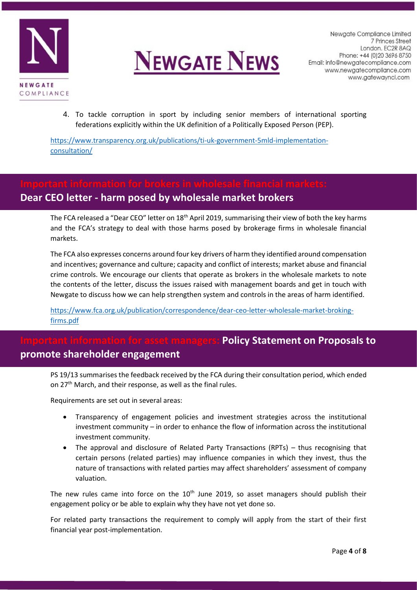



4. To tackle corruption in sport by including senior members of international sporting federations explicitly within the UK definition of a Politically Exposed Person (PEP).

[https://www.transparency.org.uk/publications/ti-uk-government-5mld-implementation](https://www.transparency.org.uk/publications/ti-uk-government-5mld-implementation-consultation/)[consultation/](https://www.transparency.org.uk/publications/ti-uk-government-5mld-implementation-consultation/) 

## **Dear CEO letter - harm posed by wholesale market brokers**

The FCA released a "Dear CEO" letter on 18<sup>th</sup> April 2019, summarising their view of both the key harms and the FCA's strategy to deal with those harms posed by brokerage firms in wholesale financial markets.

The FCA also expresses concerns around four key drivers of harm they identified around compensation and incentives; governance and culture; capacity and conflict of interests; market abuse and financial crime controls. We encourage our clients that operate as brokers in the wholesale markets to note the contents of the letter, discuss the issues raised with management boards and get in touch with Newgate to discuss how we can help strengthen system and controls in the areas of harm identified.

[https://www.fca.org.uk/publication/correspondence/dear-ceo-letter-wholesale-market-broking](https://www.fca.org.uk/publication/correspondence/dear-ceo-letter-wholesale-market-broking-firms.pdf)[firms.pdf](https://www.fca.org.uk/publication/correspondence/dear-ceo-letter-wholesale-market-broking-firms.pdf)

#### **Policy Statement on Proposals to promote shareholder engagement**

PS 19/13 summarises the feedback received by the FCA during their consultation period, which ended on 27<sup>th</sup> March, and their response, as well as the final rules.

Requirements are set out in several areas:

- Transparency of engagement policies and investment strategies across the institutional investment community – in order to enhance the flow of information across the institutional investment community.
- The approval and disclosure of Related Party Transactions (RPTs) thus recognising that certain persons (related parties) may influence companies in which they invest, thus the nature of transactions with related parties may affect shareholders' assessment of company valuation.

The new rules came into force on the  $10<sup>th</sup>$  June 2019, so asset managers should publish their engagement policy or be able to explain why they have not yet done so.

For related party transactions the requirement to comply will apply from the start of their first financial year post-implementation.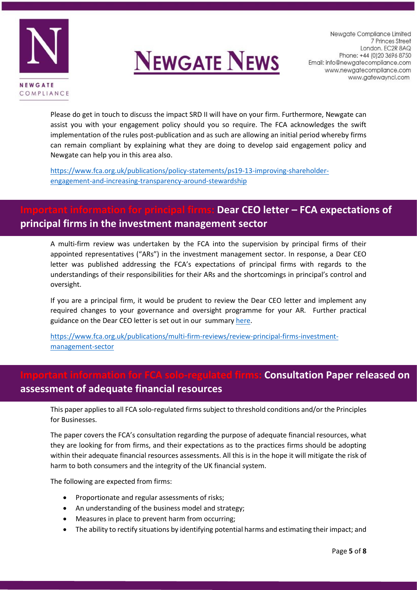



Please do get in touch to discuss the impact SRD II will have on your firm. Furthermore, Newgate can assist you with your engagement policy should you so require. The FCA acknowledges the swift implementation of the rules post-publication and as such are allowing an initial period whereby firms can remain compliant by explaining what they are doing to develop said engagement policy and Newgate can help you in this area also.

[https://www.fca.org.uk/publications/policy-statements/ps19-13-improving-shareholder](https://www.fca.org.uk/publications/policy-statements/ps19-13-improving-shareholder-engagement-and-increasing-transparency-around-stewardship)[engagement-and-increasing-transparency-around-stewardship](https://www.fca.org.uk/publications/policy-statements/ps19-13-improving-shareholder-engagement-and-increasing-transparency-around-stewardship) 

#### **IDear CEO letter – FCA expectations of principal firms in the investment management sector**

A multi-firm review was undertaken by the FCA into the supervision by principal firms of their appointed representatives ("ARs") in the investment management sector. In response, a Dear CEO letter was published addressing the FCA's expectations of principal firms with regards to the understandings of their responsibilities for their ARs and the shortcomings in principal's control and oversight.

If you are a principal firm, it would be prudent to review the Dear CEO letter and implement any required changes to your governance and oversight programme for your AR. Further practical guidance on the Dear CEO letter is set out in our summary [here.](http://newgatecompliance.com/downloader/YzYzNzVhM2JlZmU2ZTA4ZTRmMmIwYjFiZWRhNjY4NTHlC9gEe1hsZyxct23tZvd1TjZNNy8rSngrbmZxR2loNTlXZkdVRmx6NFVzTWRQb0lIYS9QRzlEUVQrRmZGdmxjWUZkRk9lNUY2cWpUcmc0dg)

[https://www.fca.org.uk/publications/multi-firm-reviews/review-principal-firms-investment](https://www.fca.org.uk/publications/multi-firm-reviews/review-principal-firms-investment-management-sector)[management-sector](https://www.fca.org.uk/publications/multi-firm-reviews/review-principal-firms-investment-management-sector)

#### **Inted firms: Consultation Paper released on assessment of adequate financial resources**

This paper applies to all FCA solo-regulated firms subject to threshold conditions and/or the Principles for Businesses.

The paper covers the FCA's consultation regarding the purpose of adequate financial resources, what they are looking for from firms, and their expectations as to the practices firms should be adopting within their adequate financial resources assessments. All this is in the hope it will mitigate the risk of harm to both consumers and the integrity of the UK financial system.

The following are expected from firms:

- Proportionate and regular assessments of risks;
- An understanding of the business model and strategy;
- Measures in place to prevent harm from occurring;
- The ability to rectify situations by identifying potential harms and estimating their impact; and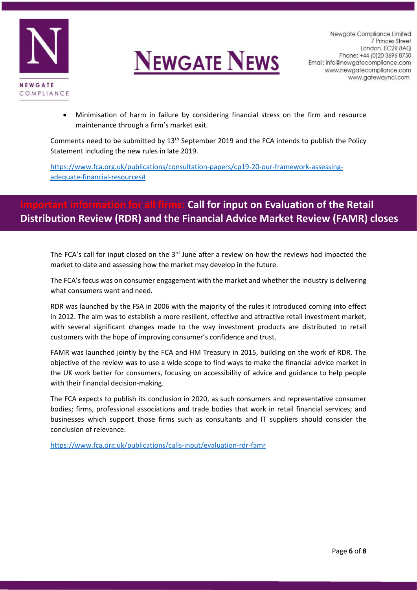



• Minimisation of harm in failure by considering financial stress on the firm and resource maintenance through a firm's market exit.

Comments need to be submitted by  $13<sup>th</sup>$  September 2019 and the FCA intends to publish the Policy Statement including the new rules in late 2019.

[https://www.fca.org.uk/publications/consultation-papers/cp19-20-our-framework-assessing](https://www.fca.org.uk/publications/consultation-papers/cp19-20-our-framework-assessing-adequate-financial-resources)[adequate-financial-resources#](https://www.fca.org.uk/publications/consultation-papers/cp19-20-our-framework-assessing-adequate-financial-resources)

#### **In for all firms: Call for input on Evaluation of the Retail Distribution Review (RDR) and the Financial Advice Market Review (FAMR) closes**

The FCA's call for input closed on the  $3<sup>rd</sup>$  June after a review on how the reviews had impacted the market to date and assessing how the market may develop in the future.

The FCA's focus was on consumer engagement with the market and whether the industry is delivering what consumers want and need.

RDR was launched by the FSA in 2006 with the majority of the rules it introduced coming into effect in 2012. The aim was to establish a more resilient, effective and attractive retail investment market, with several significant changes made to the way investment products are distributed to retail customers with the hope of improving consumer's confidence and trust.

FAMR was launched jointly by the FCA and HM Treasury in 2015, building on the work of RDR. The objective of the review was to use a wide scope to find ways to make the financial advice market in the UK work better for consumers, focusing on accessibility of advice and guidance to help people with their financial decision-making.

The FCA expects to publish its conclusion in 2020, as such consumers and representative consumer bodies; firms, professional associations and trade bodies that work in retail financial services; and businesses which support those firms such as consultants and IT suppliers should consider the conclusion of relevance.

<https://www.fca.org.uk/publications/calls-input/evaluation-rdr-famr>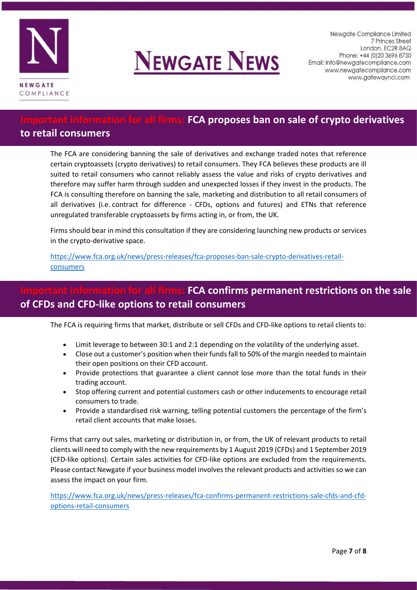



### **IDED FORM FORMATION FIGAL FIGAL FIGAL FIGAL FIGAL FIGAL FIGAL FIGAL FIGAL FIGAL FIGAL FIGAL FIGAL FIGAL FIGAL F**

#### **to retail consumers**

The FCA are considering banning the sale of derivatives and exchange traded notes that reference certain cryptoassets (crypto derivatives) to retail consumers. They FCA believes these products are ill suited to retail consumers who cannot reliably assess the value and risks of crypto derivatives and therefore may suffer harm through sudden and unexpected losses if they invest in the products. The FCA is consulting therefore on banning the sale, marketing and distribution to all retail consumers of all derivatives (i.e. contract for difference - CFDs, options and futures) and ETNs that reference unregulated transferable cryptoassets by firms acting in, or from, the UK.

Firms should bear in mind this consultation if they are considering launching new products or services in the crypto-derivative space.

[https://www.fca.org.uk/news/press-releases/fca-proposes-ban-sale-crypto-derivatives-retail](https://www.fca.org.uk/news/press-releases/fca-proposes-ban-sale-crypto-derivatives-retail-consumers)[consumers](https://www.fca.org.uk/news/press-releases/fca-proposes-ban-sale-crypto-derivatives-retail-consumers)

#### **IFCA confirms permanent restrictions on the sale of CFDs and CFD-like options to retail consumers**

The FCA is requiring firms that market, distribute or sell CFDs and CFD-like options to retail clients to:

- Limit leverage to between 30:1 and 2:1 depending on the volatility of the underlying asset.
- Close out a customer's position when their funds fall to 50% of the margin needed to maintain their open positions on their CFD account.
- Provide protections that guarantee a client cannot lose more than the total funds in their trading account.
- Stop offering current and potential customers cash or other inducements to encourage retail consumers to trade.
- Provide a standardised risk warning, telling potential customers the percentage of the firm's retail client accounts that make losses.

Firms that carry out sales, marketing or distribution in, or from, the UK of relevant products to retail clients will need to comply with the new requirements by 1 August 2019 (CFDs) and 1 September 2019 (CFD-like options). Certain sales activities for CFD-like options are excluded from the requirements. Please contact Newgate if your business model involves the relevant products and activities so we can assess the impact on your firm.

[https://www.fca.org.uk/news/press-releases/fca-confirms-permanent-restrictions-sale-cfds-and-cfd](https://www.fca.org.uk/news/press-releases/fca-confirms-permanent-restrictions-sale-cfds-and-cfd-options-retail-consumers)[options-retail-consumers](https://www.fca.org.uk/news/press-releases/fca-confirms-permanent-restrictions-sale-cfds-and-cfd-options-retail-consumers)